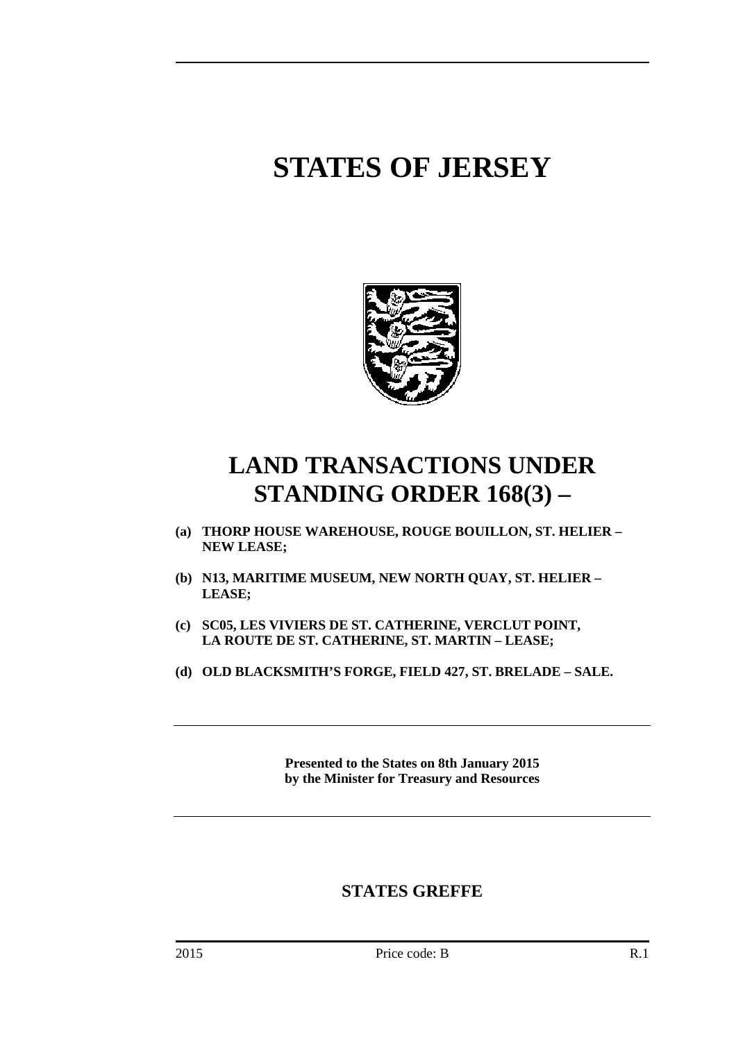# **STATES OF JERSEY**



## **LAND TRANSACTIONS UNDER STANDING ORDER 168(3) –**

- **(a) THORP HOUSE WAREHOUSE, ROUGE BOUILLON, ST. HELIER NEW LEASE;**
- **(b) N13, MARITIME MUSEUM, NEW NORTH QUAY, ST. HELIER LEASE;**
- **(c) SC05, LES VIVIERS DE ST. CATHERINE, VERCLUT POINT, LA ROUTE DE ST. CATHERINE, ST. MARTIN – LEASE;**
- **(d) OLD BLACKSMITH'S FORGE, FIELD 427, ST. BRELADE SALE.**

**Presented to the States on 8th January 2015 by the Minister for Treasury and Resources** 

### **STATES GREFFE**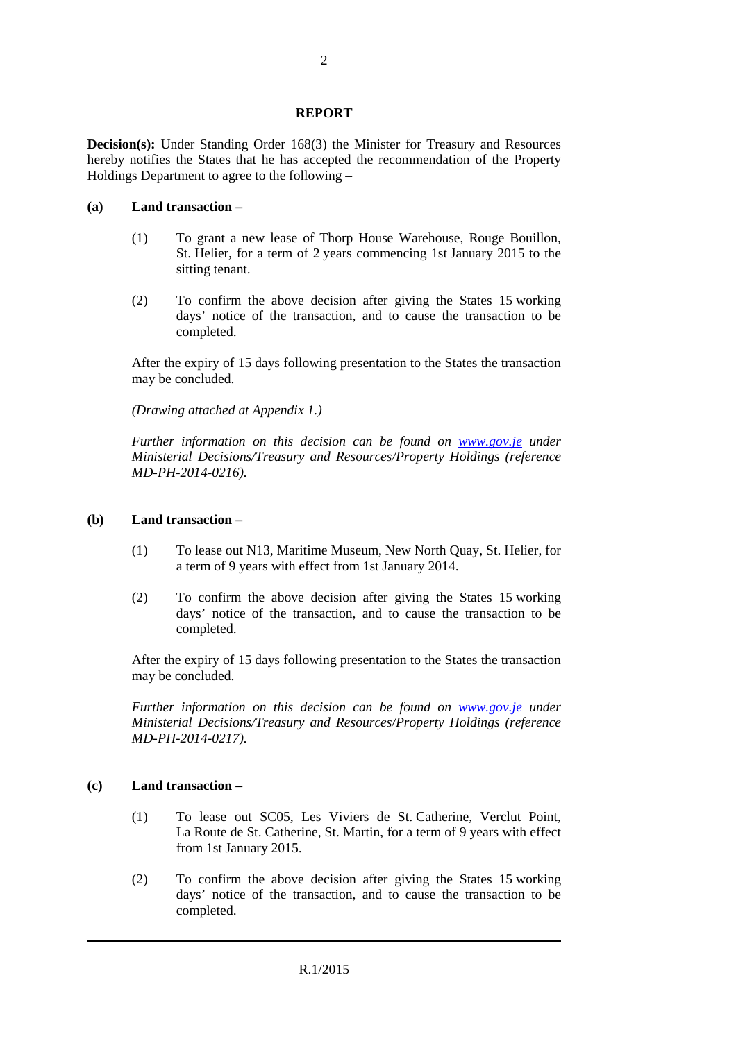#### **REPORT**

**Decision(s):** Under Standing Order 168(3) the Minister for Treasury and Resources hereby notifies the States that he has accepted the recommendation of the Property Holdings Department to agree to the following –

#### **(a) Land transaction –**

- (1) To grant a new lease of Thorp House Warehouse, Rouge Bouillon, St. Helier, for a term of 2 years commencing 1st January 2015 to the sitting tenant.
- (2) To confirm the above decision after giving the States 15 working days' notice of the transaction, and to cause the transaction to be completed.

After the expiry of 15 days following presentation to the States the transaction may be concluded.

*(Drawing attached at Appendix 1.)* 

*Further information on this decision can be found on www.gov.je under Ministerial Decisions/Treasury and Resources/Property Holdings (reference MD-PH-2014-0216).* 

#### **(b) Land transaction –**

- (1) To lease out N13, Maritime Museum, New North Quay, St. Helier, for a term of 9 years with effect from 1st January 2014.
- (2) To confirm the above decision after giving the States 15 working days' notice of the transaction, and to cause the transaction to be completed.

After the expiry of 15 days following presentation to the States the transaction may be concluded.

*Further information on this decision can be found on www.gov.je under Ministerial Decisions/Treasury and Resources/Property Holdings (reference MD-PH-2014-0217).* 

#### **(c) Land transaction –**

- (1) To lease out SC05, Les Viviers de St. Catherine, Verclut Point, La Route de St. Catherine, St. Martin, for a term of 9 years with effect from 1st January 2015.
- (2) To confirm the above decision after giving the States 15 working days' notice of the transaction, and to cause the transaction to be completed.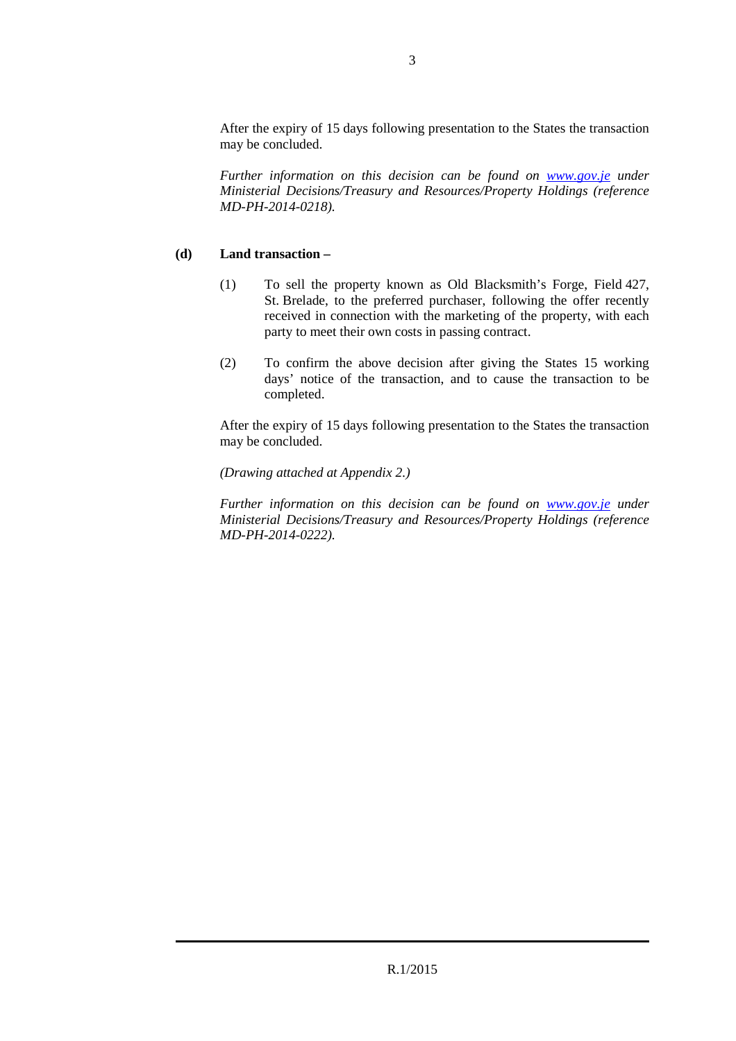After the expiry of 15 days following presentation to the States the transaction may be concluded.

*Further information on this decision can be found on www.gov.je under Ministerial Decisions/Treasury and Resources/Property Holdings (reference MD-PH-2014-0218).* 

#### **(d) Land transaction –**

- (1) To sell the property known as Old Blacksmith's Forge, Field 427, St. Brelade, to the preferred purchaser, following the offer recently received in connection with the marketing of the property, with each party to meet their own costs in passing contract.
- (2) To confirm the above decision after giving the States 15 working days' notice of the transaction, and to cause the transaction to be completed.

After the expiry of 15 days following presentation to the States the transaction may be concluded.

#### *(Drawing attached at Appendix 2.)*

*Further information on this decision can be found on www.gov.je under Ministerial Decisions/Treasury and Resources/Property Holdings (reference MD-PH-2014-0222).*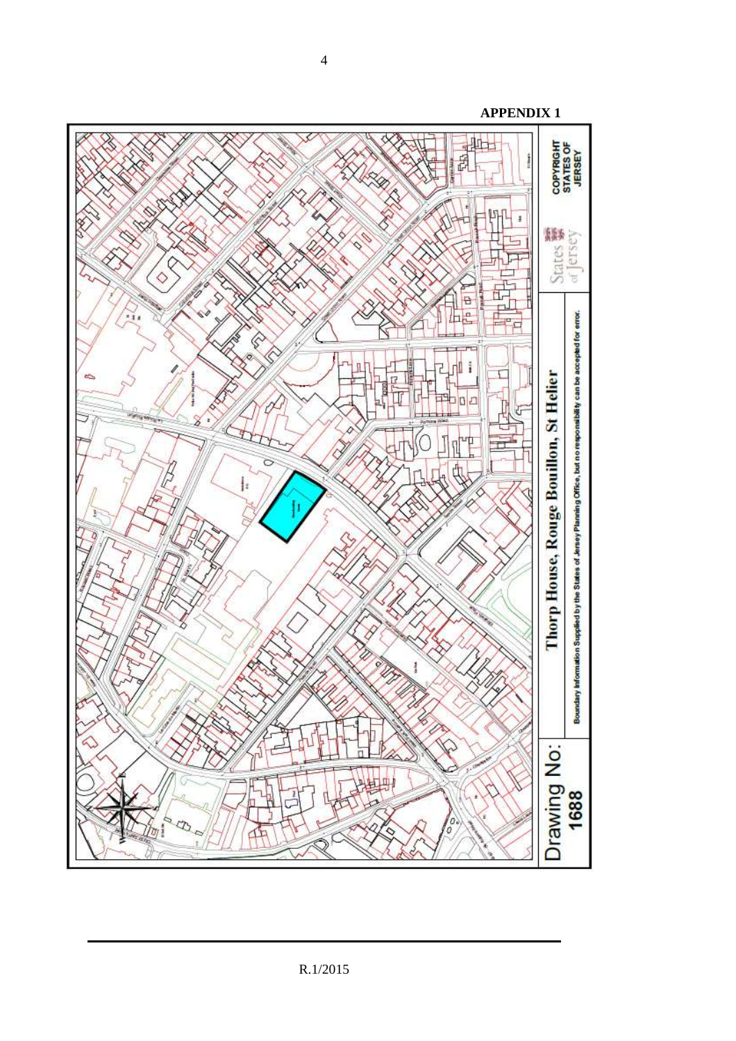

4

**APPENDIX 1**